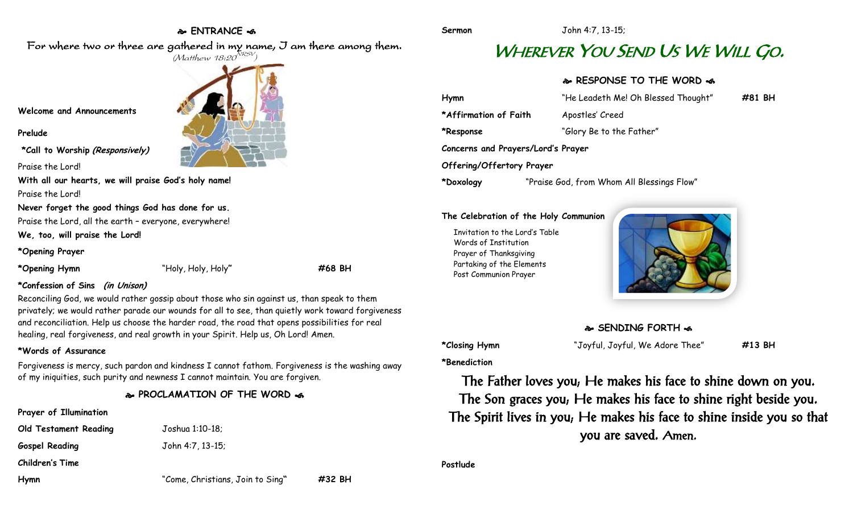## **ENTRANCE**

### For where two or three are gathered in my name, I am there among them.  $(M$ atthew 18:20 $^{NRSV})$



### **Prelude**

**\*Call to Worship (Responsively)**

Praise the Lord!

**With all our hearts, we will praise God's holy name!** Praise the Lord!

**Never forget the good things God has done for us.**

Praise the Lord, all the earth – everyone, everywhere!

**We, too, will praise the Lord!**

**\*Opening Prayer**

**\*Opening Hymn** "Holy, Holy, Holy**" #68 BH**

### **\*Confession of Sins (in Unison)**

Reconciling God, we would rather gossip about those who sin against us, than speak to them privately; we would rather parade our wounds for all to see, than quietly work toward forgiveness and reconciliation. Help us choose the harder road, the road that opens possibilities for real healing, real forgiveness, and real growth in your Spirit. Help us, Oh Lord! Amen.

### **\*Words of Assurance**

Forgiveness is mercy, such pardon and kindness I cannot fathom. Forgiveness is the washing away of my iniquities, such purity and newness I cannot maintain. You are forgiven.

### **PROCLAMATION OF THE WORD**

| Prayer of Illumination       |      |
|------------------------------|------|
| <b>Old Testament Reading</b> | Josh |
| <b>Gospel Reading</b>        | John |
| Children's Time              |      |

**Old Testament Reading** Joshua 1:10-18;

**Gospel Reading** John 4:7, 13-15;

**Children's Time**

| Hymn | "Come, Christians, Join to Sing" | #32 BH |
|------|----------------------------------|--------|
|      |                                  |        |

# WHEREVER YOU SEND US WE WILL G<sup>O</sup>.

## **RESPONSE TO THE WORD**

| Hymn                               | "He Leadeth Me! Oh Blessed Thought"        | #81 BH |  |  |
|------------------------------------|--------------------------------------------|--------|--|--|
| *Affirmation of Faith              | Apostles' Creed                            |        |  |  |
| *Response                          | "Glory Be to the Father"                   |        |  |  |
| Concerns and Prayers/Lord's Prayer |                                            |        |  |  |
| Offering/Offertory Prayer          |                                            |        |  |  |
| *Doxology                          | "Praise God, from Whom All Blessings Flow" |        |  |  |

### **The Celebration of the Holy Communion**

Invitation to the Lord's Table Words of Institution Prayer of Thanksgiving Partaking of the Elements Post Communion Prayer



## **SENDING FORTH**  $\cdot$ **6**

**\*Benediction**

**\*Closing Hymn** "Joyful, Joyful, We Adore Thee" **#13 BH**

The Father loves you; He makes his face to shine down on you. The Son graces you; He makes his face to shine right beside you. The Spirit lives in you; He makes his face to shine inside you so that you are saved. Amen.

**Postlude**